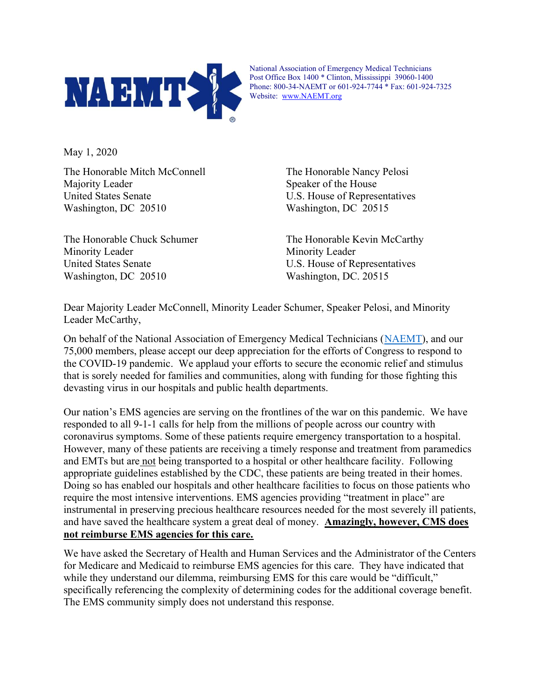

National Association of Emergency Medical Technicians Post Office Box 1400 \* Clinton, Mississippi 39060-1400 Phone: 800-34-NAEMT or 601-924-7744 \* Fax: 601-924-7325 Website: www.NAEMT.org

May 1, 2020

The Honorable Mitch McConnell The Honorable Nancy Pelosi Majority Leader Speaker of the House United States Senate U.S. House of Representatives Washington, DC 20510 Washington, DC 20515

The Honorable Chuck Schumer The Honorable Kevin McCarthy Minority Leader Minority Leader United States Senate U.S. House of Representatives Washington, DC 20510 Washington, DC. 20515

Dear Majority Leader McConnell, Minority Leader Schumer, Speaker Pelosi, and Minority Leader McCarthy,

On behalf of the National Association of Emergency Medical Technicians (NAEMT), and our 75,000 members, please accept our deep appreciation for the efforts of Congress to respond to the COVID-19 pandemic. We applaud your efforts to secure the economic relief and stimulus that is sorely needed for families and communities, along with funding for those fighting this devasting virus in our hospitals and public health departments.

Our nation's EMS agencies are serving on the frontlines of the war on this pandemic. We have responded to all 9-1-1 calls for help from the millions of people across our country with coronavirus symptoms. Some of these patients require emergency transportation to a hospital. However, many of these patients are receiving a timely response and treatment from paramedics and EMTs but are not being transported to a hospital or other healthcare facility. Following appropriate guidelines established by the CDC, these patients are being treated in their homes. Doing so has enabled our hospitals and other healthcare facilities to focus on those patients who require the most intensive interventions. EMS agencies providing "treatment in place" are instrumental in preserving precious healthcare resources needed for the most severely ill patients, and have saved the healthcare system a great deal of money. Amazingly, however, CMS does not reimburse EMS agencies for this care.

We have asked the Secretary of Health and Human Services and the Administrator of the Centers for Medicare and Medicaid to reimburse EMS agencies for this care. They have indicated that while they understand our dilemma, reimbursing EMS for this care would be "difficult," specifically referencing the complexity of determining codes for the additional coverage benefit. The EMS community simply does not understand this response.